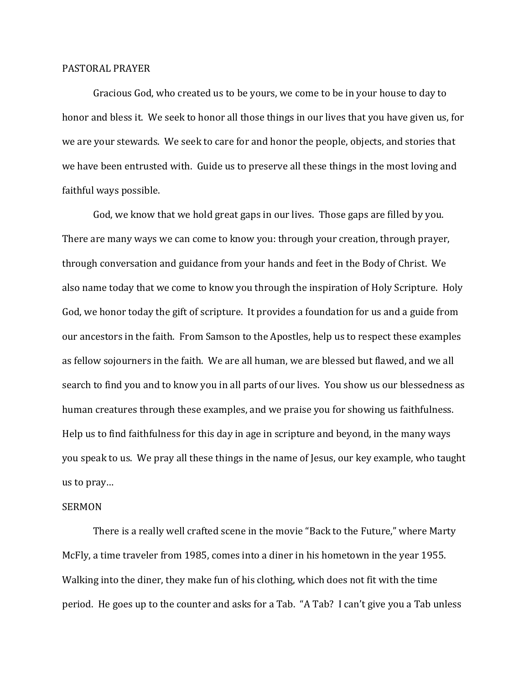## PASTORAL PRAYER

 Gracious God, who created us to be yours, we come to be in your house to day to honor and bless it. We seek to honor all those things in our lives that you have given us, for we are your stewards. We seek to care for and honor the people, objects, and stories that we have been entrusted with. Guide us to preserve all these things in the most loving and faithful ways possible.

 God, we know that we hold great gaps in our lives. Those gaps are filled by you. There are many ways we can come to know you: through your creation, through prayer, through conversation and guidance from your hands and feet in the Body of Christ. We also name today that we come to know you through the inspiration of Holy Scripture. Holy God, we honor today the gift of scripture. It provides a foundation for us and a guide from our ancestors in the faith. From Samson to the Apostles, help us to respect these examples as fellow sojourners in the faith. We are all human, we are blessed but flawed, and we all search to find you and to know you in all parts of our lives. You show us our blessedness as human creatures through these examples, and we praise you for showing us faithfulness. Help us to find faithfulness for this day in age in scripture and beyond, in the many ways you speak to us. We pray all these things in the name of Jesus, our key example, who taught us to pray…

## SERMON

 There is a really well crafted scene in the movie "Back to the Future," where Marty McFly, a time traveler from 1985, comes into a diner in his hometown in the year 1955. Walking into the diner, they make fun of his clothing, which does not fit with the time period. He goes up to the counter and asks for a Tab. "A Tab? I can't give you a Tab unless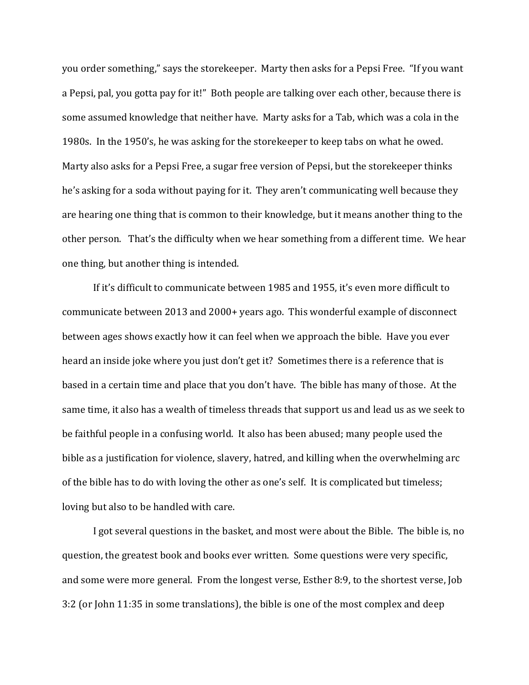you order something," says the storekeeper. Marty then asks for a Pepsi Free. "If you want a Pepsi, pal, you gotta pay for it!" Both people are talking over each other, because there is some assumed knowledge that neither have. Marty asks for a Tab, which was a cola in the 1980s. In the 1950's, he was asking for the storekeeper to keep tabs on what he owed. Marty also asks for a Pepsi Free, a sugar free version of Pepsi, but the storekeeper thinks he's asking for a soda without paying for it. They aren't communicating well because they are hearing one thing that is common to their knowledge, but it means another thing to the other person. That's the difficulty when we hear something from a different time. We hear one thing, but another thing is intended.

If it's difficult to communicate between 1985 and 1955, it's even more difficult to communicate between 2013 and 2000+ years ago. This wonderful example of disconnect between ages shows exactly how it can feel when we approach the bible. Have you ever heard an inside joke where you just don't get it? Sometimes there is a reference that is based in a certain time and place that you don't have. The bible has many of those. At the same time, it also has a wealth of timeless threads that support us and lead us as we seek to be faithful people in a confusing world. It also has been abused; many people used the bible as a justification for violence, slavery, hatred, and killing when the overwhelming arc of the bible has to do with loving the other as one's self. It is complicated but timeless; loving but also to be handled with care.

 I got several questions in the basket, and most were about the Bible. The bible is, no question, the greatest book and books ever written. Some questions were very specific, and some were more general. From the longest verse, Esther 8:9, to the shortest verse, Job 3:2 (or John 11:35 in some translations), the bible is one of the most complex and deep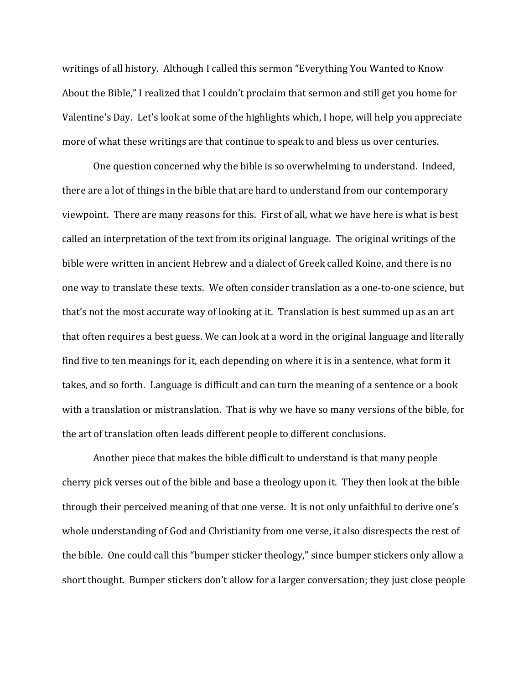writings of all history. Although I called this sermon "Everything You Wanted to Know About the Bible," I realized that I couldn't proclaim that sermon and still get you home for Valentine's Day. Let's look at some of the highlights which, I hope, will help you appreciate more of what these writings are that continue to speak to and bless us over centuries.

One question concerned why the bible is so overwhelming to understand. Indeed, there are a lot of things in the bible that are hard to understand from our contemporary viewpoint. There are many reasons for this. First of all, what we have here is what is best called an interpretation of the text from its original language. The original writings of the bible were written in ancient Hebrew and a dialect of Greek called Koine, and there is no one way to translate these texts. We often consider translation as a one-to-one science, but that's not the most accurate way of looking at it. Translation is best summed up as an art that often requires a best guess. We can look at a word in the original language and literally find five to ten meanings for it, each depending on where it is in a sentence, what form it takes, and so forth. Language is difficult and can turn the meaning of a sentence or a book with a translation or mistranslation. That is why we have so many versions of the bible, for the art of translation often leads different people to different conclusions.

Another piece that makes the bible difficult to understand is that many people cherry pick verses out of the bible and base a theology upon it. They then look at the bible through their perceived meaning of that one verse. It is not only unfaithful to derive one's whole understanding of God and Christianity from one verse, it also disrespects the rest of the bible. One could call this "bumper sticker theology," since bumper stickers only allow a short thought. Bumper stickers don't allow for a larger conversation; they just close people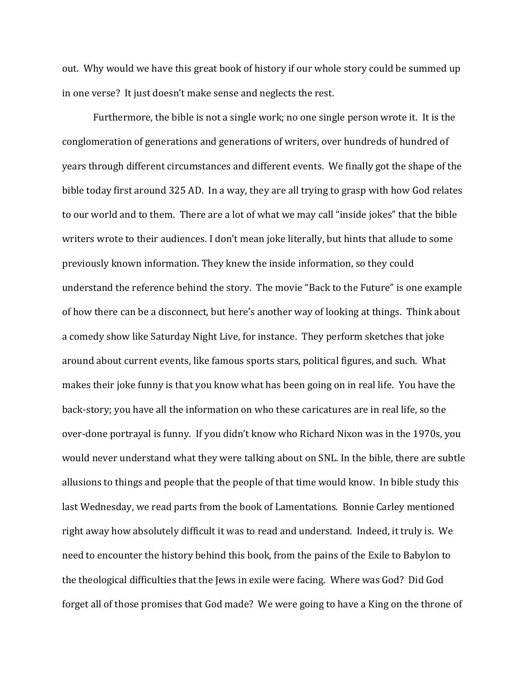out. Why would we have this great book of history if our whole story could be summed up in one verse? It just doesn't make sense and neglects the rest.

Furthermore, the bible is not a single work; no one single person wrote it. It is the conglomeration of generations and generations of writers, over hundreds of hundred of years through different circumstances and different events. We finally got the shape of the bible today first around 325 AD. In a way, they are all trying to grasp with how God relates to our world and to them. There are a lot of what we may call "inside jokes" that the bible writers wrote to their audiences. I don't mean joke literally, but hints that allude to some previously known information. They knew the inside information, so they could understand the reference behind the story. The movie "Back to the Future" is one example of how there can be a disconnect, but here's another way of looking at things. Think about a comedy show like Saturday Night Live, for instance. They perform sketches that joke around about current events, like famous sports stars, political figures, and such. What makes their joke funny is that you know what has been going on in real life. You have the back-story; you have all the information on who these caricatures are in real life, so the over-done portrayal is funny. If you didn't know who Richard Nixon was in the 1970s, you would never understand what they were talking about on SNL. In the bible, there are subtle allusions to things and people that the people of that time would know. In bible study this last Wednesday, we read parts from the book of Lamentations. Bonnie Carley mentioned right away how absolutely difficult it was to read and understand. Indeed, it truly is. We need to encounter the history behind this book, from the pains of the Exile to Babylon to the theological difficulties that the Jews in exile were facing. Where was God? Did God forget all of those promises that God made? We were going to have a King on the throne of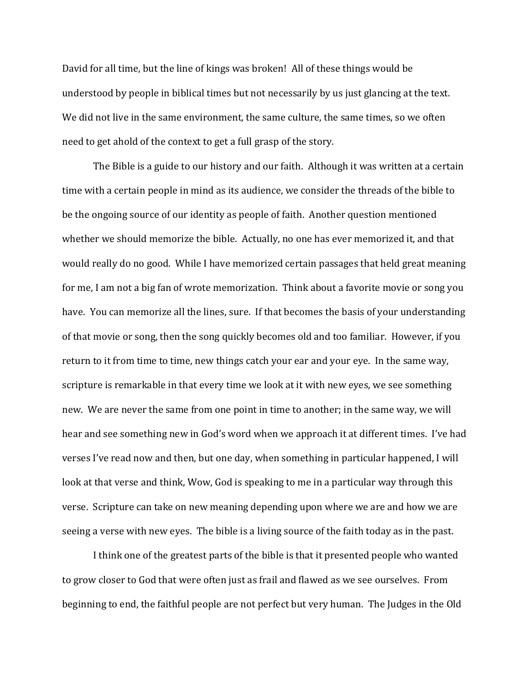David for all time, but the line of kings was broken! All of these things would be understood by people in biblical times but not necessarily by us just glancing at the text. We did not live in the same environment, the same culture, the same times, so we often need to get ahold of the context to get a full grasp of the story.

 The Bible is a guide to our history and our faith. Although it was written at a certain time with a certain people in mind as its audience, we consider the threads of the bible to be the ongoing source of our identity as people of faith. Another question mentioned whether we should memorize the bible. Actually, no one has ever memorized it, and that would really do no good. While I have memorized certain passages that held great meaning for me, I am not a big fan of wrote memorization. Think about a favorite movie or song you have. You can memorize all the lines, sure. If that becomes the basis of your understanding of that movie or song, then the song quickly becomes old and too familiar. However, if you return to it from time to time, new things catch your ear and your eye. In the same way, scripture is remarkable in that every time we look at it with new eyes, we see something new. We are never the same from one point in time to another; in the same way, we will hear and see something new in God's word when we approach it at different times. I've had verses I've read now and then, but one day, when something in particular happened, I will look at that verse and think, Wow, God is speaking to me in a particular way through this verse. Scripture can take on new meaning depending upon where we are and how we are seeing a verse with new eyes. The bible is a living source of the faith today as in the past.

 I think one of the greatest parts of the bible is that it presented people who wanted to grow closer to God that were often just as frail and flawed as we see ourselves. From beginning to end, the faithful people are not perfect but very human. The Judges in the Old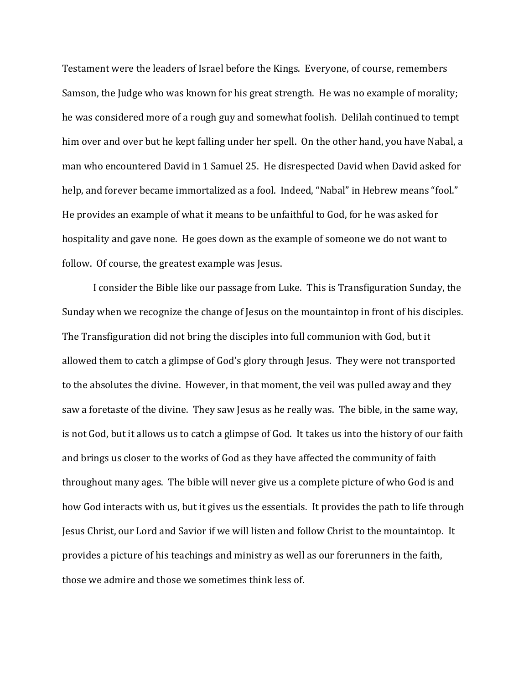Testament were the leaders of Israel before the Kings. Everyone, of course, remembers Samson, the Judge who was known for his great strength. He was no example of morality; he was considered more of a rough guy and somewhat foolish. Delilah continued to tempt him over and over but he kept falling under her spell. On the other hand, you have Nabal, a man who encountered David in 1 Samuel 25. He disrespected David when David asked for help, and forever became immortalized as a fool. Indeed, "Nabal" in Hebrew means "fool." He provides an example of what it means to be unfaithful to God, for he was asked for hospitality and gave none. He goes down as the example of someone we do not want to follow. Of course, the greatest example was Jesus.

 I consider the Bible like our passage from Luke. This is Transfiguration Sunday, the Sunday when we recognize the change of Jesus on the mountaintop in front of his disciples. The Transfiguration did not bring the disciples into full communion with God, but it allowed them to catch a glimpse of God's glory through Jesus. They were not transported to the absolutes the divine. However, in that moment, the veil was pulled away and they saw a foretaste of the divine. They saw Jesus as he really was. The bible, in the same way, is not God, but it allows us to catch a glimpse of God. It takes us into the history of our faith and brings us closer to the works of God as they have affected the community of faith throughout many ages. The bible will never give us a complete picture of who God is and how God interacts with us, but it gives us the essentials. It provides the path to life through Jesus Christ, our Lord and Savior if we will listen and follow Christ to the mountaintop. It provides a picture of his teachings and ministry as well as our forerunners in the faith, those we admire and those we sometimes think less of.